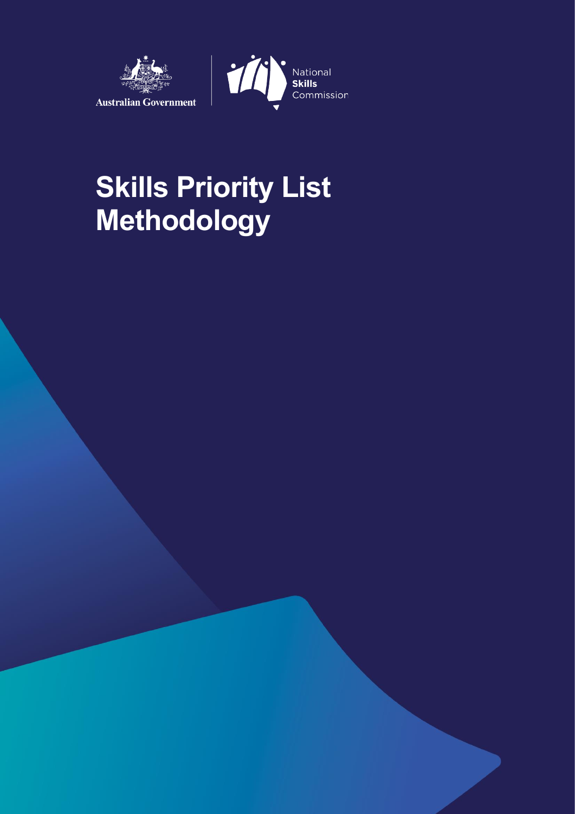

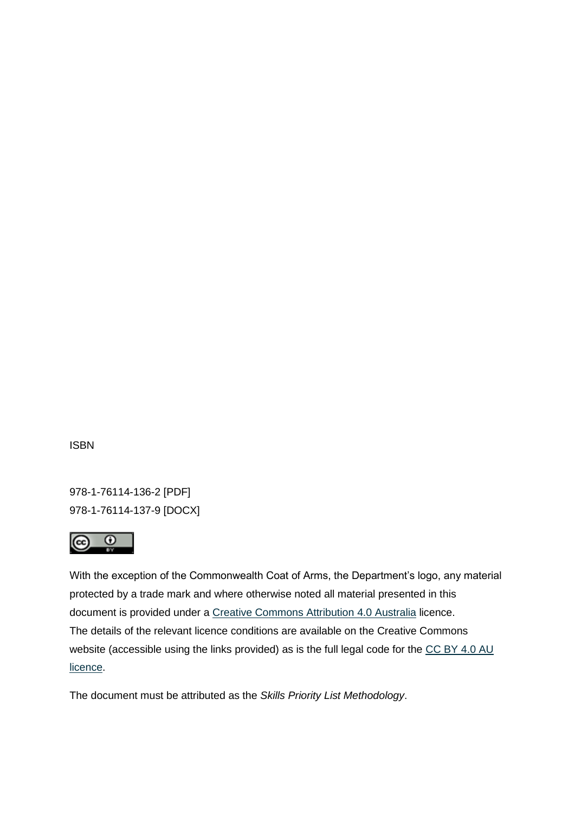ISBN

978-1-76114-136-2 [PDF] 978-1-76114-137-9 [DOCX]



With the exception of the Commonwealth Coat of Arms, the Department's logo, any material protected by a trade mark and where otherwise noted all material presented in this document is provided under a [Creative Commons Attribution 4.0 Australia](https://creativecommons.org/licenses/by/4.0/) licence. The details of the relevant licence conditions are available on the Creative Commons website (accessible using the links provided) as is the full legal code for the CC BY 4.0 AU [licence.](https://creativecommons.org/licenses/by/4.0/legalcode)

The document must be attributed as the *Skills Priority List Methodology*.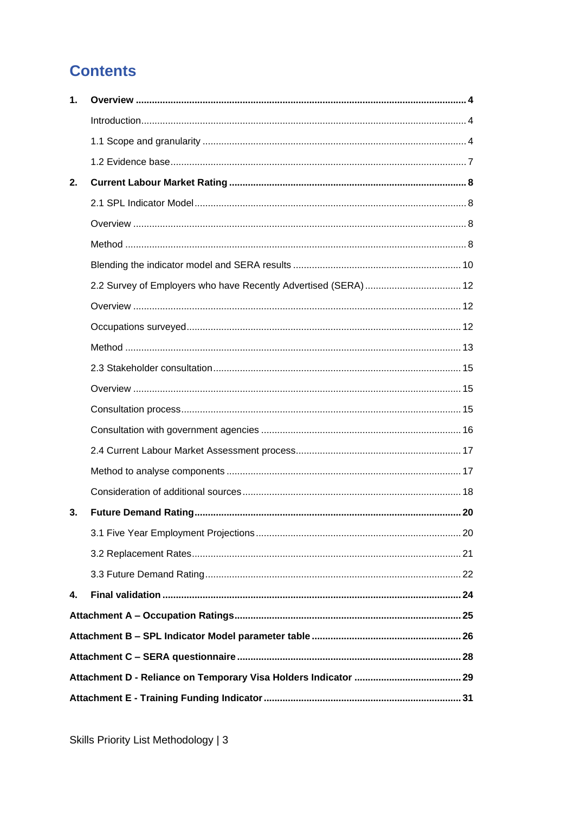# **Contents**

| 1. |                                                                 |  |
|----|-----------------------------------------------------------------|--|
|    |                                                                 |  |
|    |                                                                 |  |
|    |                                                                 |  |
| 2. |                                                                 |  |
|    |                                                                 |  |
|    |                                                                 |  |
|    |                                                                 |  |
|    |                                                                 |  |
|    | 2.2 Survey of Employers who have Recently Advertised (SERA)  12 |  |
|    |                                                                 |  |
|    |                                                                 |  |
|    |                                                                 |  |
|    |                                                                 |  |
|    |                                                                 |  |
|    |                                                                 |  |
|    |                                                                 |  |
|    |                                                                 |  |
|    |                                                                 |  |
|    |                                                                 |  |
| 3. |                                                                 |  |
|    |                                                                 |  |
|    |                                                                 |  |
|    |                                                                 |  |
| 4. |                                                                 |  |
|    |                                                                 |  |
|    |                                                                 |  |
|    |                                                                 |  |
|    |                                                                 |  |
|    |                                                                 |  |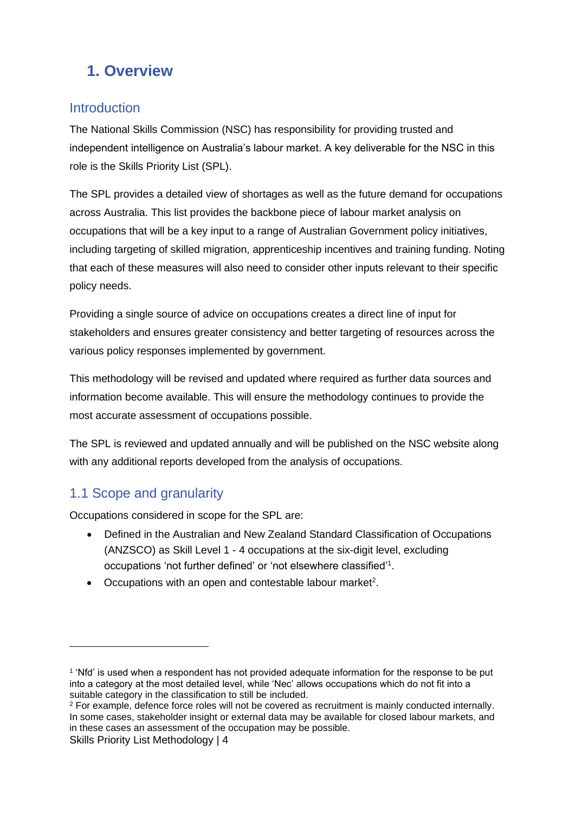# <span id="page-3-0"></span>**1. Overview**

#### <span id="page-3-1"></span>**Introduction**

The National Skills Commission (NSC) has responsibility for providing trusted and independent intelligence on Australia's labour market. A key deliverable for the NSC in this role is the Skills Priority List (SPL).

The SPL provides a detailed view of shortages as well as the future demand for occupations across Australia. This list provides the backbone piece of labour market analysis on occupations that will be a key input to a range of Australian Government policy initiatives, including targeting of skilled migration, apprenticeship incentives and training funding. Noting that each of these measures will also need to consider other inputs relevant to their specific policy needs.

Providing a single source of advice on occupations creates a direct line of input for stakeholders and ensures greater consistency and better targeting of resources across the various policy responses implemented by government.

This methodology will be revised and updated where required as further data sources and information become available. This will ensure the methodology continues to provide the most accurate assessment of occupations possible.

The SPL is reviewed and updated annually and will be published on the NSC website along with any additional reports developed from the analysis of occupations.

## <span id="page-3-2"></span>1.1 Scope and granularity

Occupations considered in scope for the SPL are:

- Defined in the Australian and New Zealand Standard Classification of Occupations (ANZSCO) as Skill Level 1 - 4 occupations at the six-digit level, excluding occupations 'not further defined' or 'not elsewhere classified'<sup>1</sup> .
- $\bullet$  Occupations with an open and contestable labour market<sup>2</sup>.

<sup>1</sup> 'Nfd' is used when a respondent has not provided adequate information for the response to be put into a category at the most detailed level, while 'Nec' allows occupations which do not fit into a suitable category in the classification to still be included.

Skills Priority List Methodology | 4 <sup>2</sup> For example, defence force roles will not be covered as recruitment is mainly conducted internally. In some cases, stakeholder insight or external data may be available for closed labour markets, and in these cases an assessment of the occupation may be possible.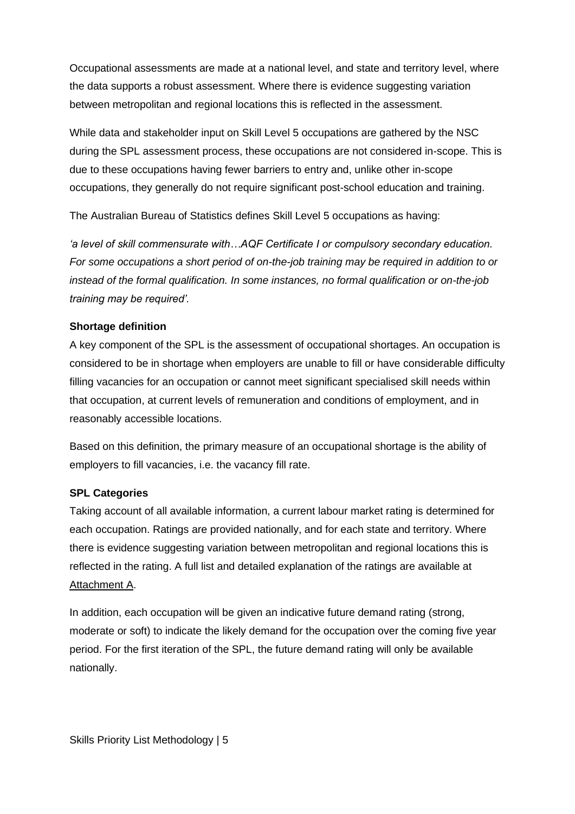Occupational assessments are made at a national level, and state and territory level, where the data supports a robust assessment. Where there is evidence suggesting variation between metropolitan and regional locations this is reflected in the assessment.

While data and stakeholder input on Skill Level 5 occupations are gathered by the NSC during the SPL assessment process, these occupations are not considered in-scope. This is due to these occupations having fewer barriers to entry and, unlike other in-scope occupations, they generally do not require significant post-school education and training.

The Australian Bureau of Statistics defines Skill Level 5 occupations as having:

*'a level of skill commensurate with…AQF Certificate I or compulsory secondary education. For some occupations a short period of on-the-job training may be required in addition to or instead of the formal qualification. In some instances, no formal qualification or on-the-job training may be required'.*

#### **Shortage definition**

A key component of the SPL is the assessment of occupational shortages. An occupation is considered to be in shortage when employers are unable to fill or have considerable difficulty filling vacancies for an occupation or cannot meet significant specialised skill needs within that occupation, at current levels of remuneration and conditions of employment, and in reasonably accessible locations.

Based on this definition, the primary measure of an occupational shortage is the ability of employers to fill vacancies, i.e. the vacancy fill rate.

#### **SPL Categories**

Taking account of all available information, a current labour market rating is determined for each occupation. Ratings are provided nationally, and for each state and territory. Where there is evidence suggesting variation between metropolitan and regional locations this is reflected in the rating. A full list and detailed explanation of the ratings are available at Attachment A.

In addition, each occupation will be given an indicative future demand rating (strong, moderate or soft) to indicate the likely demand for the occupation over the coming five year period. For the first iteration of the SPL, the future demand rating will only be available nationally.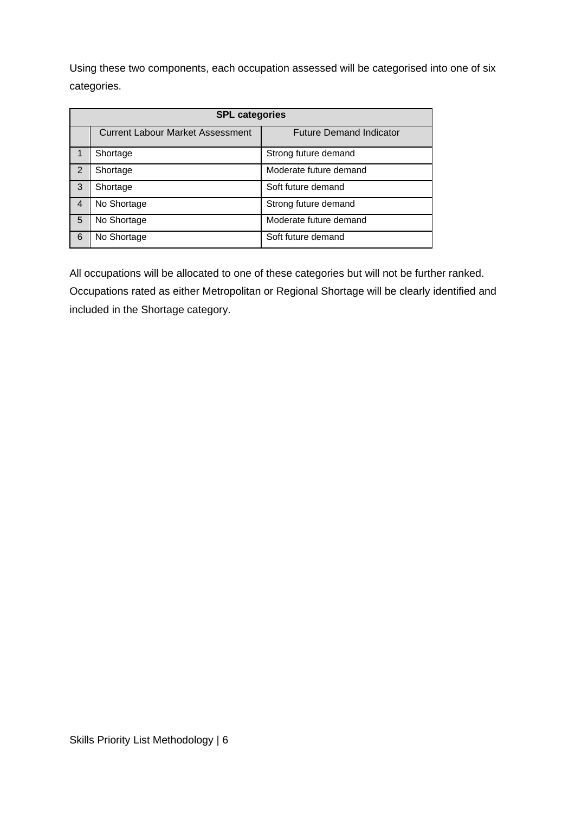Using these two components, each occupation assessed will be categorised into one of six categories.

| <b>SPL categories</b>    |                                         |                                |  |
|--------------------------|-----------------------------------------|--------------------------------|--|
|                          | <b>Current Labour Market Assessment</b> | <b>Future Demand Indicator</b> |  |
|                          | Shortage                                | Strong future demand           |  |
| $\mathcal{P}$            | Shortage                                | Moderate future demand         |  |
| 3                        | Shortage                                | Soft future demand             |  |
| $\overline{\mathcal{A}}$ | No Shortage                             | Strong future demand           |  |
| $\overline{5}$           | No Shortage                             | Moderate future demand         |  |
| 6                        | No Shortage                             | Soft future demand             |  |

<span id="page-5-0"></span>All occupations will be allocated to one of these categories but will not be further ranked. Occupations rated as either Metropolitan or Regional Shortage will be clearly identified and included in the Shortage category.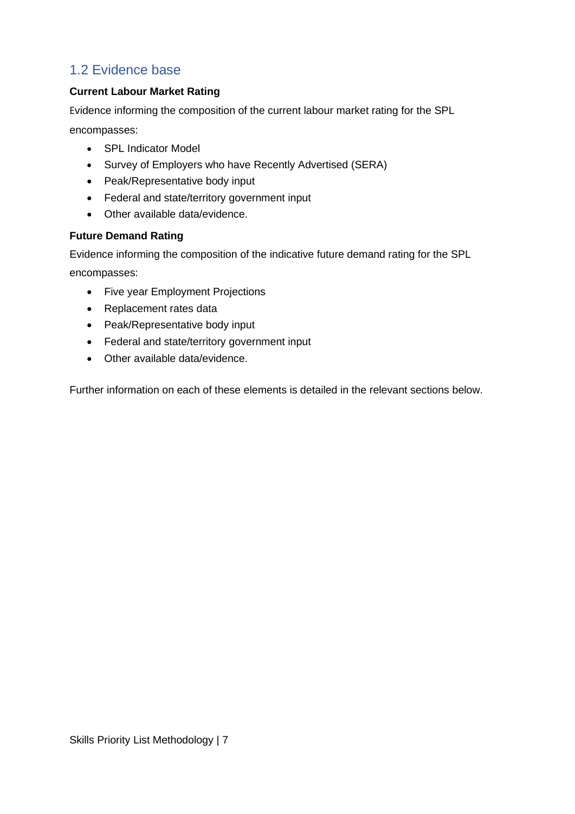## 1.2 Evidence base

#### **Current Labour Market Rating**

Evidence informing the composition of the current labour market rating for the SPL encompasses:

- SPL Indicator Model
- Survey of Employers who have Recently Advertised (SERA)
- Peak/Representative body input
- Federal and state/territory government input
- Other available data/evidence.

#### **Future Demand Rating**

Evidence informing the composition of the indicative future demand rating for the SPL

encompasses:

- Five year Employment Projections
- Replacement rates data
- Peak/Representative body input
- Federal and state/territory government input
- Other available data/evidence.

Further information on each of these elements is detailed in the relevant sections below.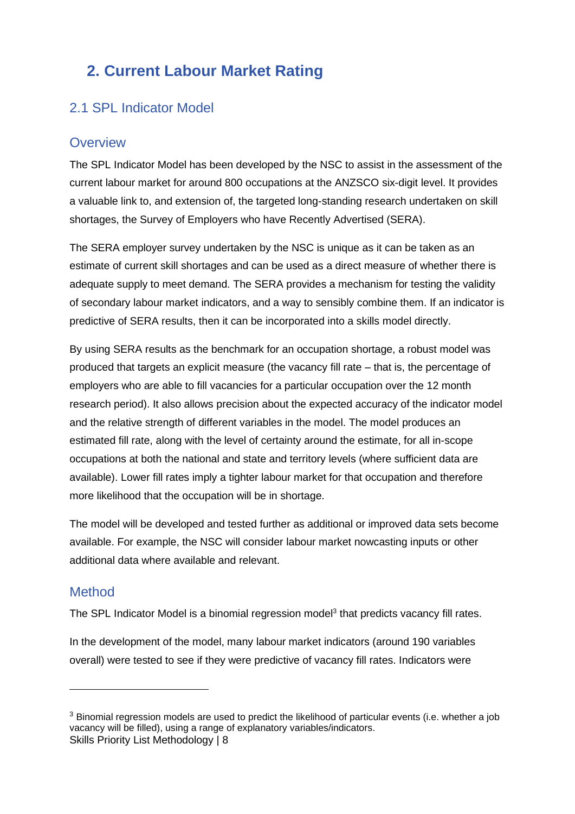# <span id="page-7-0"></span>**2. Current Labour Market Rating**

## <span id="page-7-1"></span>2.1 SPL Indicator Model

#### <span id="page-7-2"></span>**Overview**

The SPL Indicator Model has been developed by the NSC to assist in the assessment of the current labour market for around 800 occupations at the ANZSCO six-digit level. It provides a valuable link to, and extension of, the targeted long-standing research undertaken on skill shortages, the Survey of Employers who have Recently Advertised (SERA).

The SERA employer survey undertaken by the NSC is unique as it can be taken as an estimate of current skill shortages and can be used as a direct measure of whether there is adequate supply to meet demand. The SERA provides a mechanism for testing the validity of secondary labour market indicators, and a way to sensibly combine them. If an indicator is predictive of SERA results, then it can be incorporated into a skills model directly.

By using SERA results as the benchmark for an occupation shortage, a robust model was produced that targets an explicit measure (the vacancy fill rate – that is, the percentage of employers who are able to fill vacancies for a particular occupation over the 12 month research period). It also allows precision about the expected accuracy of the indicator model and the relative strength of different variables in the model. The model produces an estimated fill rate, along with the level of certainty around the estimate, for all in-scope occupations at both the national and state and territory levels (where sufficient data are available). Lower fill rates imply a tighter labour market for that occupation and therefore more likelihood that the occupation will be in shortage.

The model will be developed and tested further as additional or improved data sets become available. For example, the NSC will consider labour market nowcasting inputs or other additional data where available and relevant.

#### <span id="page-7-3"></span>Method

The SPL Indicator Model is a binomial regression model<sup>3</sup> that predicts vacancy fill rates.

In the development of the model, many labour market indicators (around 190 variables overall) were tested to see if they were predictive of vacancy fill rates. Indicators were

Skills Priority List Methodology | 8 <sup>3</sup> Binomial regression models are used to predict the likelihood of particular events (i.e. whether a job vacancy will be filled), using a range of explanatory variables/indicators.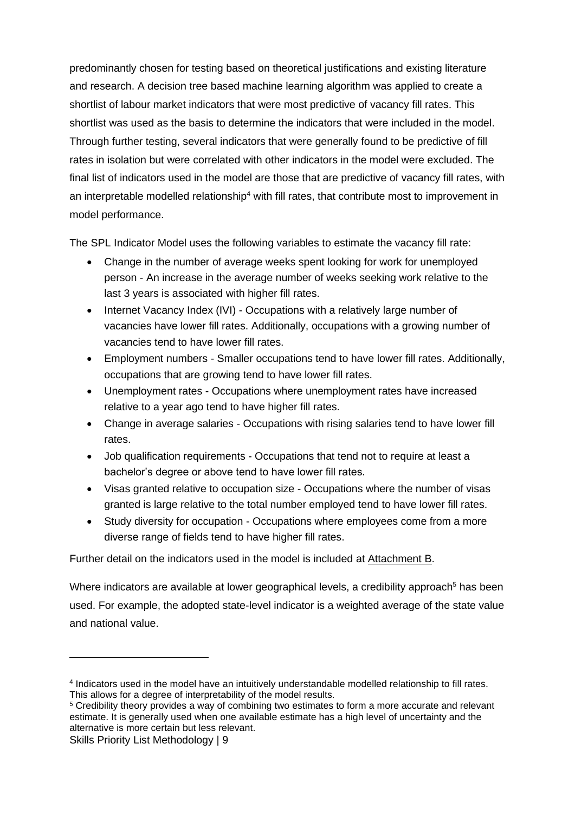predominantly chosen for testing based on theoretical justifications and existing literature and research. A decision tree based machine learning algorithm was applied to create a shortlist of labour market indicators that were most predictive of vacancy fill rates. This shortlist was used as the basis to determine the indicators that were included in the model. Through further testing, several indicators that were generally found to be predictive of fill rates in isolation but were correlated with other indicators in the model were excluded. The final list of indicators used in the model are those that are predictive of vacancy fill rates, with an interpretable modelled relationship<sup>4</sup> with fill rates, that contribute most to improvement in model performance.

The SPL Indicator Model uses the following variables to estimate the vacancy fill rate:

- Change in the number of average weeks spent looking for work for unemployed person - An increase in the average number of weeks seeking work relative to the last 3 years is associated with higher fill rates.
- Internet Vacancy Index (IVI) Occupations with a relatively large number of vacancies have lower fill rates. Additionally, occupations with a growing number of vacancies tend to have lower fill rates.
- Employment numbers Smaller occupations tend to have lower fill rates. Additionally, occupations that are growing tend to have lower fill rates.
- Unemployment rates Occupations where unemployment rates have increased relative to a year ago tend to have higher fill rates.
- Change in average salaries Occupations with rising salaries tend to have lower fill rates.
- Job qualification requirements Occupations that tend not to require at least a bachelor's degree or above tend to have lower fill rates.
- Visas granted relative to occupation size Occupations where the number of visas granted is large relative to the total number employed tend to have lower fill rates.
- Study diversity for occupation Occupations where employees come from a more diverse range of fields tend to have higher fill rates.

#### Further detail on the indicators used in the model is included at Attachment B.

Where indicators are available at lower geographical levels, a credibility approach<sup>5</sup> has been used. For example, the adopted state-level indicator is a weighted average of the state value and national value.

<sup>4</sup> Indicators used in the model have an intuitively understandable modelled relationship to fill rates. This allows for a degree of interpretability of the model results.

<sup>5</sup> Credibility theory provides a way of combining two estimates to form a more accurate and relevant estimate. It is generally used when one available estimate has a high level of uncertainty and the alternative is more certain but less relevant.

Skills Priority List Methodology | 9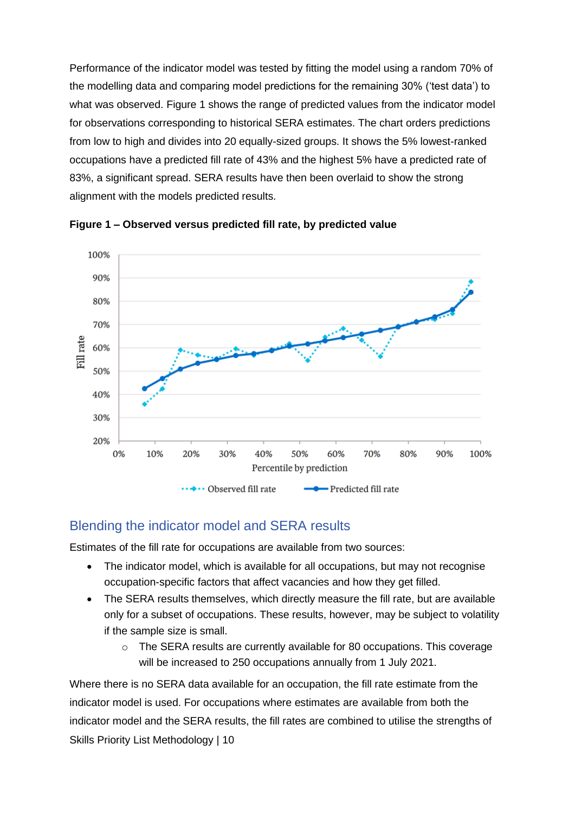Performance of the indicator model was tested by fitting the model using a random 70% of the modelling data and comparing model predictions for the remaining 30% ('test data') to what was observed. Figure 1 shows the range of predicted values from the indicator model for observations corresponding to historical SERA estimates. The chart orders predictions from low to high and divides into 20 equally-sized groups. It shows the 5% lowest-ranked occupations have a predicted fill rate of 43% and the highest 5% have a predicted rate of 83%, a significant spread. SERA results have then been overlaid to show the strong alignment with the models predicted results.





#### <span id="page-9-0"></span>Blending the indicator model and SERA results

Estimates of the fill rate for occupations are available from two sources:

- The indicator model, which is available for all occupations, but may not recognise occupation-specific factors that affect vacancies and how they get filled.
- The SERA results themselves, which directly measure the fill rate, but are available only for a subset of occupations. These results, however, may be subject to volatility if the sample size is small.
	- o The SERA results are currently available for 80 occupations. This coverage will be increased to 250 occupations annually from 1 July 2021.

Skills Priority List Methodology | 10 Where there is no SERA data available for an occupation, the fill rate estimate from the indicator model is used. For occupations where estimates are available from both the indicator model and the SERA results, the fill rates are combined to utilise the strengths of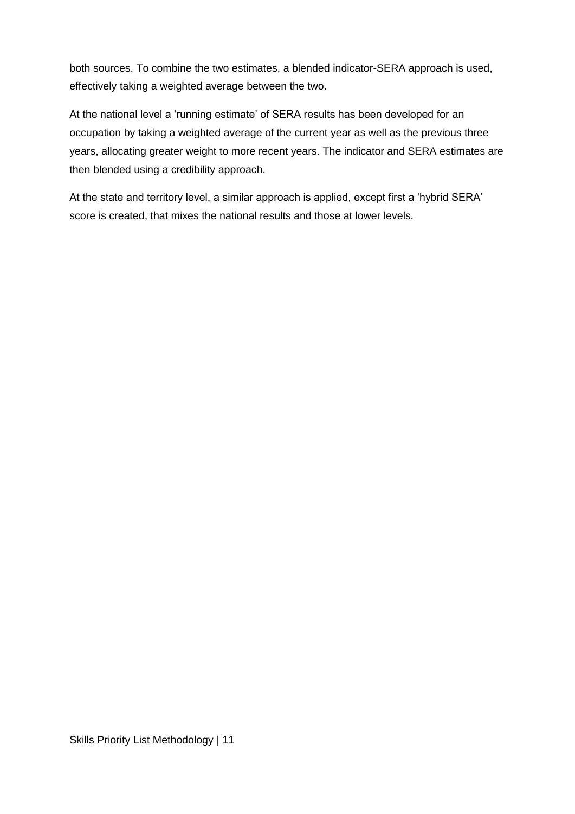both sources. To combine the two estimates, a blended indicator-SERA approach is used, effectively taking a weighted average between the two.

At the national level a 'running estimate' of SERA results has been developed for an occupation by taking a weighted average of the current year as well as the previous three years, allocating greater weight to more recent years. The indicator and SERA estimates are then blended using a credibility approach.

At the state and territory level, a similar approach is applied, except first a 'hybrid SERA' score is created, that mixes the national results and those at lower levels.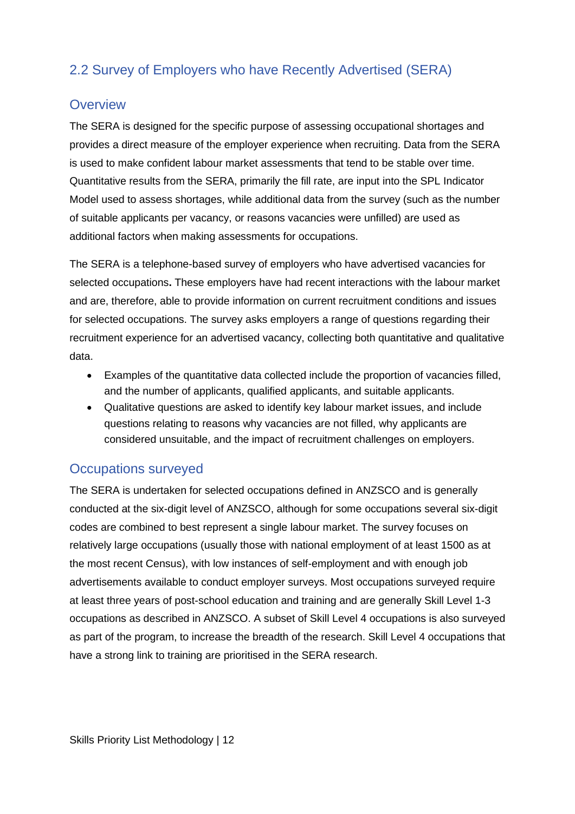## <span id="page-11-0"></span>2.2 Survey of Employers who have Recently Advertised (SERA)

#### <span id="page-11-1"></span>**Overview**

The SERA is designed for the specific purpose of assessing occupational shortages and provides a direct measure of the employer experience when recruiting. Data from the SERA is used to make confident labour market assessments that tend to be stable over time. Quantitative results from the SERA, primarily the fill rate, are input into the SPL Indicator Model used to assess shortages, while additional data from the survey (such as the number of suitable applicants per vacancy, or reasons vacancies were unfilled) are used as additional factors when making assessments for occupations.

The SERA is a telephone-based survey of employers who have advertised vacancies for selected occupations**.** These employers have had recent interactions with the labour market and are, therefore, able to provide information on current recruitment conditions and issues for selected occupations. The survey asks employers a range of questions regarding their recruitment experience for an advertised vacancy, collecting both quantitative and qualitative data.

- Examples of the quantitative data collected include the proportion of vacancies filled, and the number of applicants, qualified applicants, and suitable applicants.
- Qualitative questions are asked to identify key labour market issues, and include questions relating to reasons why vacancies are not filled, why applicants are considered unsuitable, and the impact of recruitment challenges on employers.

## <span id="page-11-2"></span>Occupations surveyed

The SERA is undertaken for selected occupations defined in ANZSCO and is generally conducted at the six-digit level of ANZSCO, although for some occupations several six-digit codes are combined to best represent a single labour market. The survey focuses on relatively large occupations (usually those with national employment of at least 1500 as at the most recent Census), with low instances of self-employment and with enough job advertisements available to conduct employer surveys. Most occupations surveyed require at least three years of post-school education and training and are generally Skill Level 1-3 occupations as described in ANZSCO. A subset of Skill Level 4 occupations is also surveyed as part of the program, to increase the breadth of the research. Skill Level 4 occupations that have a strong link to training are prioritised in the SERA research.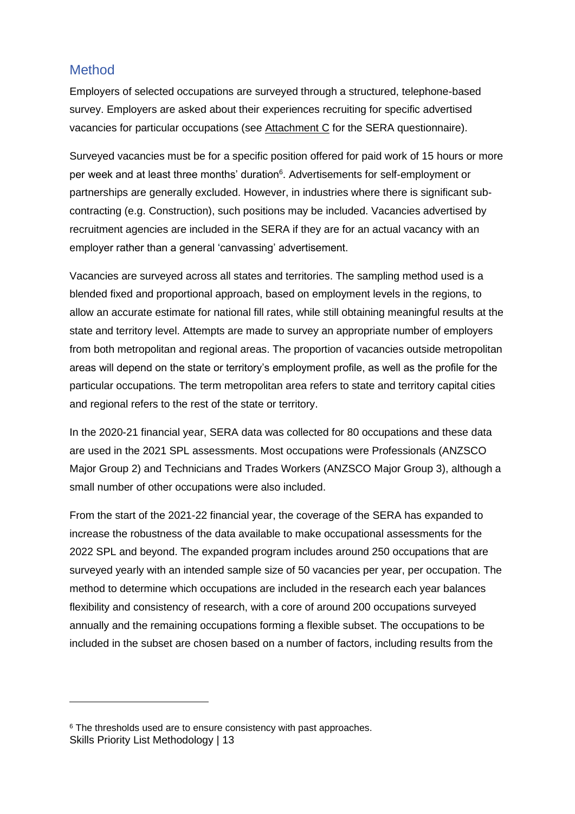#### <span id="page-12-0"></span>**Method**

Employers of selected occupations are surveyed through a structured, telephone-based survey. Employers are asked about their experiences recruiting for specific advertised vacancies for particular occupations (see Attachment C for the SERA questionnaire).

Surveyed vacancies must be for a specific position offered for paid work of 15 hours or more per week and at least three months' duration<sup>6</sup>. Advertisements for self-employment or partnerships are generally excluded. However, in industries where there is significant subcontracting (e.g. Construction), such positions may be included. Vacancies advertised by recruitment agencies are included in the SERA if they are for an actual vacancy with an employer rather than a general 'canvassing' advertisement.

Vacancies are surveyed across all states and territories. The sampling method used is a blended fixed and proportional approach, based on employment levels in the regions, to allow an accurate estimate for national fill rates, while still obtaining meaningful results at the state and territory level. Attempts are made to survey an appropriate number of employers from both metropolitan and regional areas. The proportion of vacancies outside metropolitan areas will depend on the state or territory's employment profile, as well as the profile for the particular occupations. The term metropolitan area refers to state and territory capital cities and regional refers to the rest of the state or territory.

In the 2020-21 financial year, SERA data was collected for 80 occupations and these data are used in the 2021 SPL assessments. Most occupations were Professionals (ANZSCO Major Group 2) and Technicians and Trades Workers (ANZSCO Major Group 3), although a small number of other occupations were also included.

From the start of the 2021-22 financial year, the coverage of the SERA has expanded to increase the robustness of the data available to make occupational assessments for the 2022 SPL and beyond. The expanded program includes around 250 occupations that are surveyed yearly with an intended sample size of 50 vacancies per year, per occupation. The method to determine which occupations are included in the research each year balances flexibility and consistency of research, with a core of around 200 occupations surveyed annually and the remaining occupations forming a flexible subset. The occupations to be included in the subset are chosen based on a number of factors, including results from the

Skills Priority List Methodology | 13 <sup>6</sup> The thresholds used are to ensure consistency with past approaches.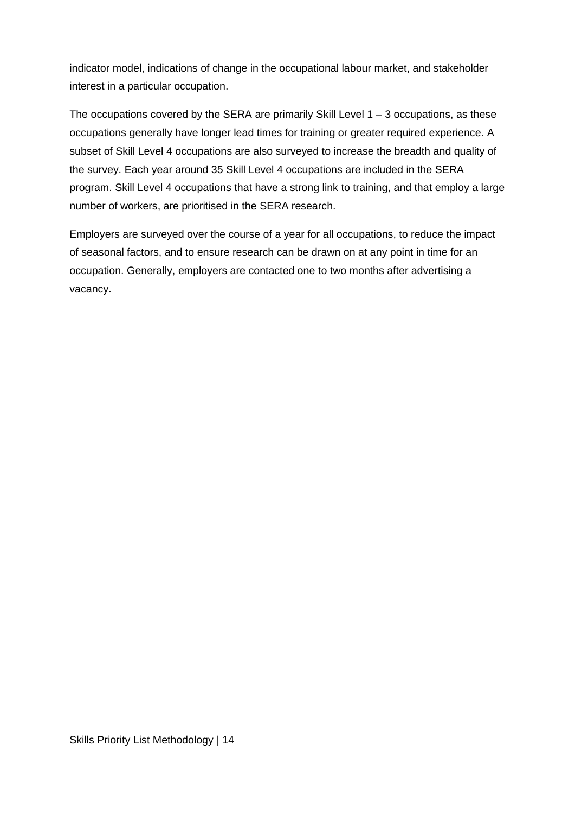indicator model, indications of change in the occupational labour market, and stakeholder interest in a particular occupation.

The occupations covered by the SERA are primarily Skill Level 1 – 3 occupations, as these occupations generally have longer lead times for training or greater required experience. A subset of Skill Level 4 occupations are also surveyed to increase the breadth and quality of the survey. Each year around 35 Skill Level 4 occupations are included in the SERA program. Skill Level 4 occupations that have a strong link to training, and that employ a large number of workers, are prioritised in the SERA research.

Employers are surveyed over the course of a year for all occupations, to reduce the impact of seasonal factors, and to ensure research can be drawn on at any point in time for an occupation. Generally, employers are contacted one to two months after advertising a vacancy.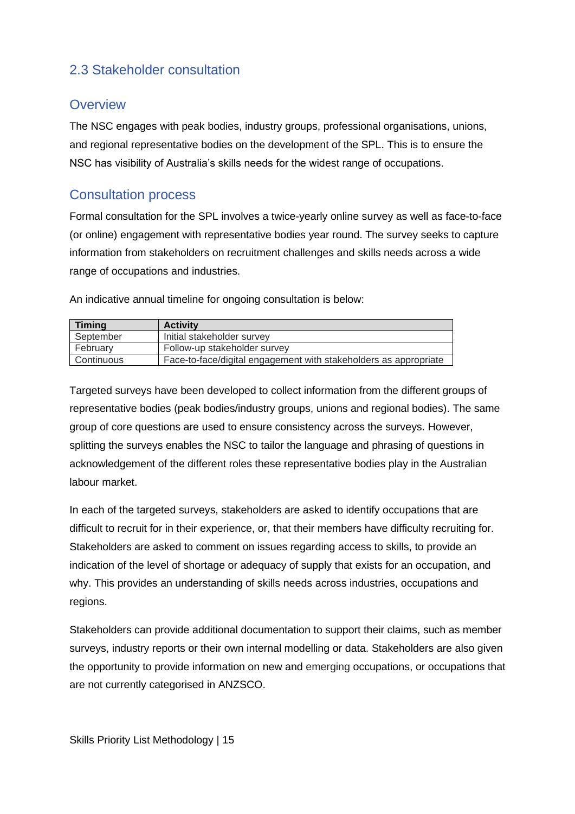## <span id="page-14-0"></span>2.3 Stakeholder consultation

#### <span id="page-14-1"></span>**Overview**

The NSC engages with peak bodies, industry groups, professional organisations, unions, and regional representative bodies on the development of the SPL. This is to ensure the NSC has visibility of Australia's skills needs for the widest range of occupations.

#### <span id="page-14-2"></span>Consultation process

Formal consultation for the SPL involves a twice-yearly online survey as well as face-to-face (or online) engagement with representative bodies year round. The survey seeks to capture information from stakeholders on recruitment challenges and skills needs across a wide range of occupations and industries.

An indicative annual timeline for ongoing consultation is below:

| <b>Timing</b> | <b>Activity</b>                                                  |
|---------------|------------------------------------------------------------------|
| September     | Initial stakeholder survey                                       |
| February      | Follow-up stakeholder survey                                     |
| Continuous    | Face-to-face/digital engagement with stakeholders as appropriate |

Targeted surveys have been developed to collect information from the different groups of representative bodies (peak bodies/industry groups, unions and regional bodies). The same group of core questions are used to ensure consistency across the surveys. However, splitting the surveys enables the NSC to tailor the language and phrasing of questions in acknowledgement of the different roles these representative bodies play in the Australian labour market.

In each of the targeted surveys, stakeholders are asked to identify occupations that are difficult to recruit for in their experience, or, that their members have difficulty recruiting for. Stakeholders are asked to comment on issues regarding access to skills, to provide an indication of the level of shortage or adequacy of supply that exists for an occupation, and why. This provides an understanding of skills needs across industries, occupations and regions.

Stakeholders can provide additional documentation to support their claims, such as member surveys, industry reports or their own internal modelling or data. Stakeholders are also given the opportunity to provide information on new and emerging occupations, or occupations that are not currently categorised in ANZSCO.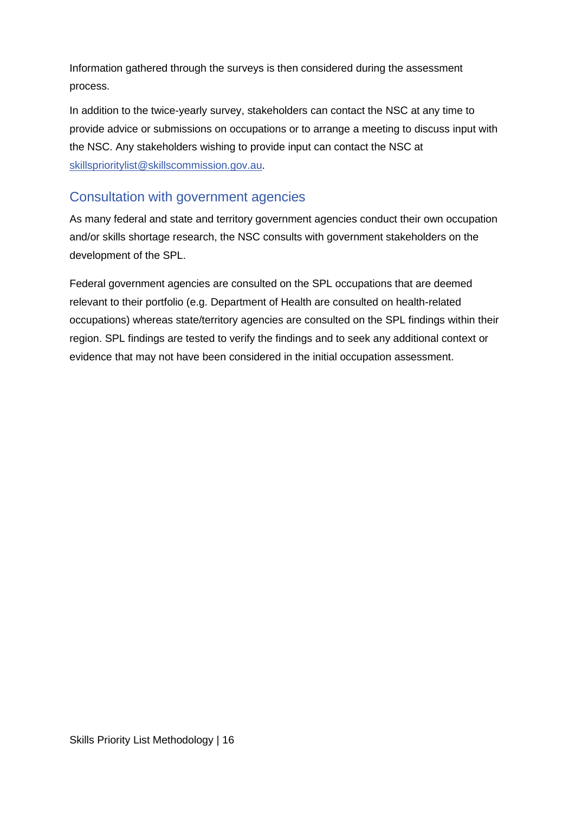Information gathered through the surveys is then considered during the assessment process.

In addition to the twice-yearly survey, stakeholders can contact the NSC at any time to provide advice or submissions on occupations or to arrange a meeting to discuss input with the NSC. Any stakeholders wishing to provide input can contact the NSC at [skillsprioritylist@skillscommission.gov.au.](mailto:skillsprioritylist@skillscommission.gov.au)

#### <span id="page-15-0"></span>Consultation with government agencies

As many federal and state and territory government agencies conduct their own occupation and/or skills shortage research, the NSC consults with government stakeholders on the development of the SPL.

Federal government agencies are consulted on the SPL occupations that are deemed relevant to their portfolio (e.g. Department of Health are consulted on health-related occupations) whereas state/territory agencies are consulted on the SPL findings within their region. SPL findings are tested to verify the findings and to seek any additional context or evidence that may not have been considered in the initial occupation assessment.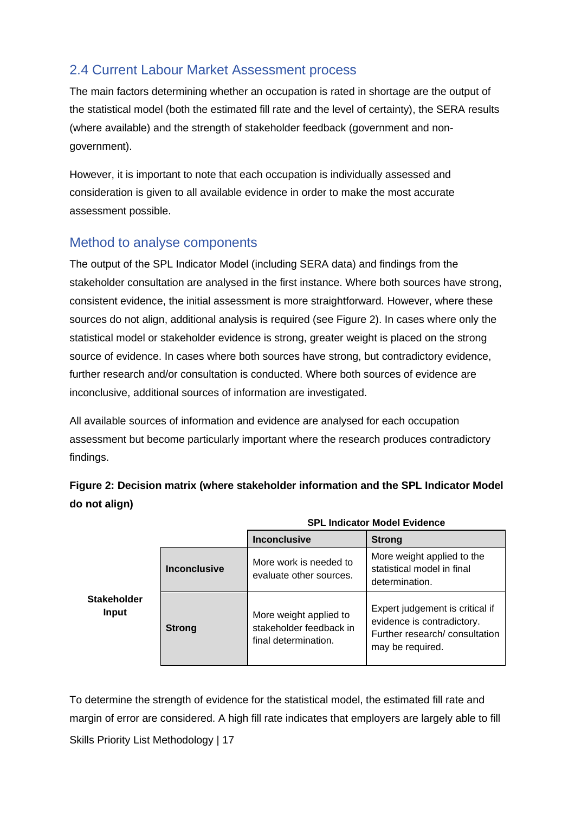## <span id="page-16-0"></span>2.4 Current Labour Market Assessment process

The main factors determining whether an occupation is rated in shortage are the output of the statistical model (both the estimated fill rate and the level of certainty), the SERA results (where available) and the strength of stakeholder feedback (government and nongovernment).

However, it is important to note that each occupation is individually assessed and consideration is given to all available evidence in order to make the most accurate assessment possible.

## <span id="page-16-1"></span>Method to analyse components

The output of the SPL Indicator Model (including SERA data) and findings from the stakeholder consultation are analysed in the first instance. Where both sources have strong, consistent evidence, the initial assessment is more straightforward. However, where these sources do not align, additional analysis is required (see Figure 2). In cases where only the statistical model or stakeholder evidence is strong, greater weight is placed on the strong source of evidence. In cases where both sources have strong, but contradictory evidence, further research and/or consultation is conducted. Where both sources of evidence are inconclusive, additional sources of information are investigated.

All available sources of information and evidence are analysed for each occupation assessment but become particularly important where the research produces contradictory findings.

**Figure 2: Decision matrix (where stakeholder information and the SPL Indicator Model do not align)**

|                                    |                     | <b>SPL Indicator Model Evidence</b>                                       |                                                                                                                    |  |
|------------------------------------|---------------------|---------------------------------------------------------------------------|--------------------------------------------------------------------------------------------------------------------|--|
|                                    |                     | <b>Inconclusive</b>                                                       | <b>Strong</b>                                                                                                      |  |
|                                    | <b>Inconclusive</b> | More work is needed to<br>evaluate other sources.                         | More weight applied to the<br>statistical model in final<br>determination.                                         |  |
| <b>Stakeholder</b><br><b>Input</b> | <b>Strong</b>       | More weight applied to<br>stakeholder feedback in<br>final determination. | Expert judgement is critical if<br>evidence is contradictory.<br>Further research/consultation<br>may be required. |  |

**SPL Indicator Model Evidence**

Skills Priority List Methodology | 17 To determine the strength of evidence for the statistical model, the estimated fill rate and margin of error are considered. A high fill rate indicates that employers are largely able to fill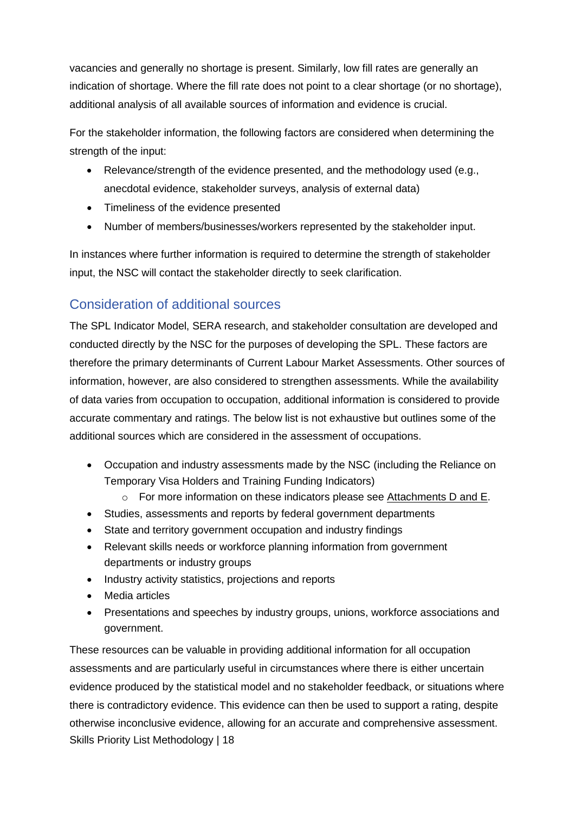vacancies and generally no shortage is present. Similarly, low fill rates are generally an indication of shortage. Where the fill rate does not point to a clear shortage (or no shortage), additional analysis of all available sources of information and evidence is crucial.

For the stakeholder information, the following factors are considered when determining the strength of the input:

- Relevance/strength of the evidence presented, and the methodology used (e.g., anecdotal evidence, stakeholder surveys, analysis of external data)
- Timeliness of the evidence presented
- Number of members/businesses/workers represented by the stakeholder input.

In instances where further information is required to determine the strength of stakeholder input, the NSC will contact the stakeholder directly to seek clarification.

## <span id="page-17-0"></span>Consideration of additional sources

The SPL Indicator Model, SERA research, and stakeholder consultation are developed and conducted directly by the NSC for the purposes of developing the SPL. These factors are therefore the primary determinants of Current Labour Market Assessments. Other sources of information, however, are also considered to strengthen assessments. While the availability of data varies from occupation to occupation, additional information is considered to provide accurate commentary and ratings. The below list is not exhaustive but outlines some of the additional sources which are considered in the assessment of occupations.

- Occupation and industry assessments made by the NSC (including the Reliance on Temporary Visa Holders and Training Funding Indicators)
	- o For more information on these indicators please see Attachments D and E.
- Studies, assessments and reports by federal government departments
- State and territory government occupation and industry findings
- Relevant skills needs or workforce planning information from government departments or industry groups
- Industry activity statistics, projections and reports
- Media articles
- Presentations and speeches by industry groups, unions, workforce associations and government.

Skills Priority List Methodology | 18 These resources can be valuable in providing additional information for all occupation assessments and are particularly useful in circumstances where there is either uncertain evidence produced by the statistical model and no stakeholder feedback, or situations where there is contradictory evidence. This evidence can then be used to support a rating, despite otherwise inconclusive evidence, allowing for an accurate and comprehensive assessment.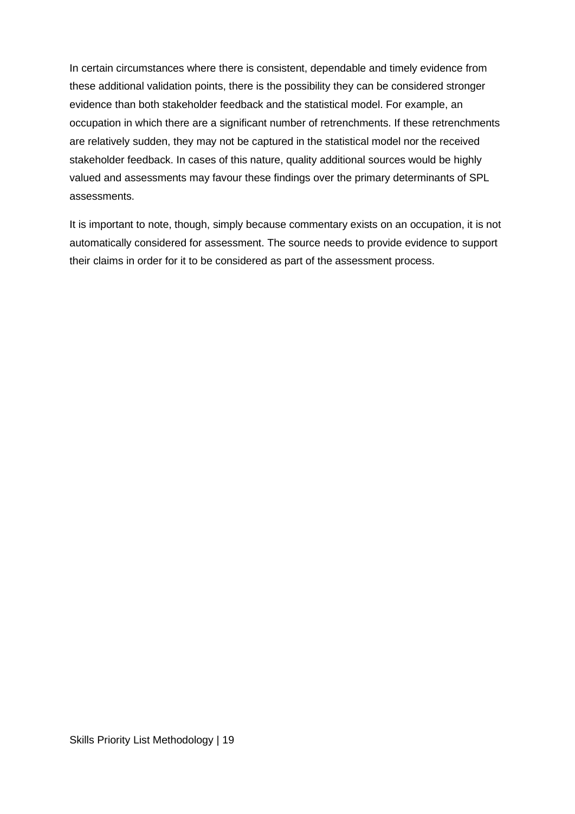In certain circumstances where there is consistent, dependable and timely evidence from these additional validation points, there is the possibility they can be considered stronger evidence than both stakeholder feedback and the statistical model. For example, an occupation in which there are a significant number of retrenchments. If these retrenchments are relatively sudden, they may not be captured in the statistical model nor the received stakeholder feedback. In cases of this nature, quality additional sources would be highly valued and assessments may favour these findings over the primary determinants of SPL assessments.

It is important to note, though, simply because commentary exists on an occupation, it is not automatically considered for assessment. The source needs to provide evidence to support their claims in order for it to be considered as part of the assessment process.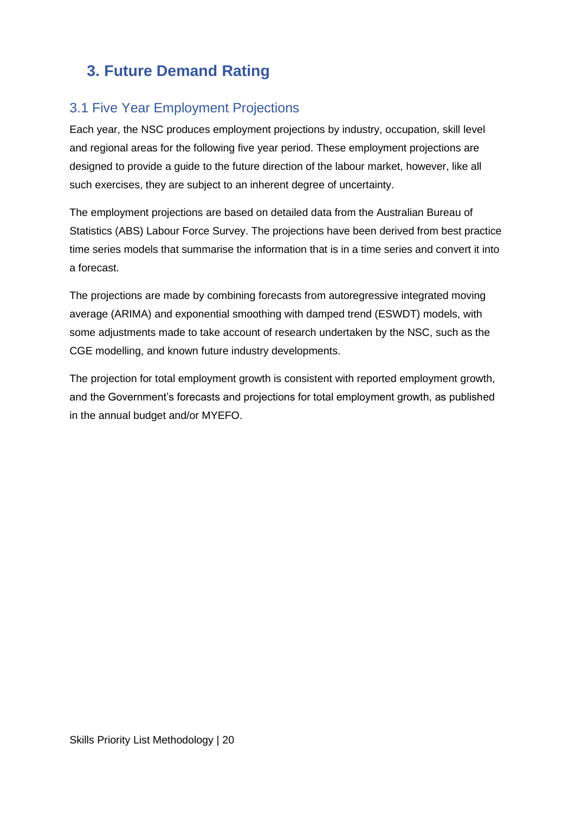# <span id="page-19-0"></span>**3. Future Demand Rating**

## <span id="page-19-1"></span>3.1 Five Year Employment Projections

Each year, the NSC produces employment projections by industry, occupation, skill level and regional areas for the following five year period. These employment projections are designed to provide a guide to the future direction of the labour market, however, like all such exercises, they are subject to an inherent degree of uncertainty.

The employment projections are based on detailed data from the Australian Bureau of Statistics (ABS) Labour Force Survey. The projections have been derived from best practice time series models that summarise the information that is in a time series and convert it into a forecast.

The projections are made by combining forecasts from autoregressive integrated moving average (ARIMA) and exponential smoothing with damped trend (ESWDT) models, with some adjustments made to take account of research undertaken by the NSC, such as the CGE modelling, and known future industry developments.

The projection for total employment growth is consistent with reported employment growth, and the Government's forecasts and projections for total employment growth, as published in the annual budget and/or MYEFO.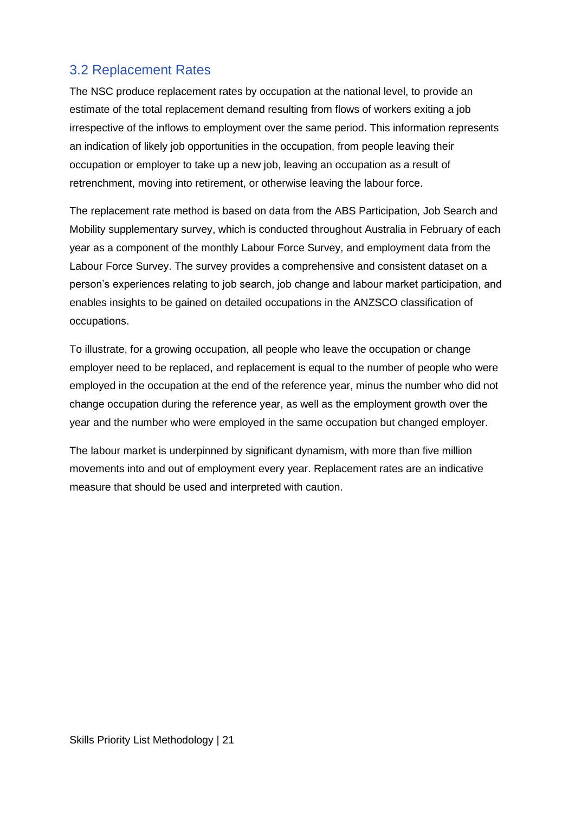#### <span id="page-20-0"></span>3.2 Replacement Rates

The NSC produce replacement rates by occupation at the national level, to provide an estimate of the total replacement demand resulting from flows of workers exiting a job irrespective of the inflows to employment over the same period. This information represents an indication of likely job opportunities in the occupation, from people leaving their occupation or employer to take up a new job, leaving an occupation as a result of retrenchment, moving into retirement, or otherwise leaving the labour force.

The replacement rate method is based on data from the ABS Participation, Job Search and Mobility supplementary survey, which is conducted throughout Australia in February of each year as a component of the monthly Labour Force Survey, and employment data from the Labour Force Survey. The survey provides a comprehensive and consistent dataset on a person's experiences relating to job search, job change and labour market participation, and enables insights to be gained on detailed occupations in the ANZSCO classification of occupations.

To illustrate, for a growing occupation, all people who leave the occupation or change employer need to be replaced, and replacement is equal to the number of people who were employed in the occupation at the end of the reference year, minus the number who did not change occupation during the reference year, as well as the employment growth over the year and the number who were employed in the same occupation but changed employer.

The labour market is underpinned by significant dynamism, with more than five million movements into and out of employment every year. Replacement rates are an indicative measure that should be used and interpreted with caution.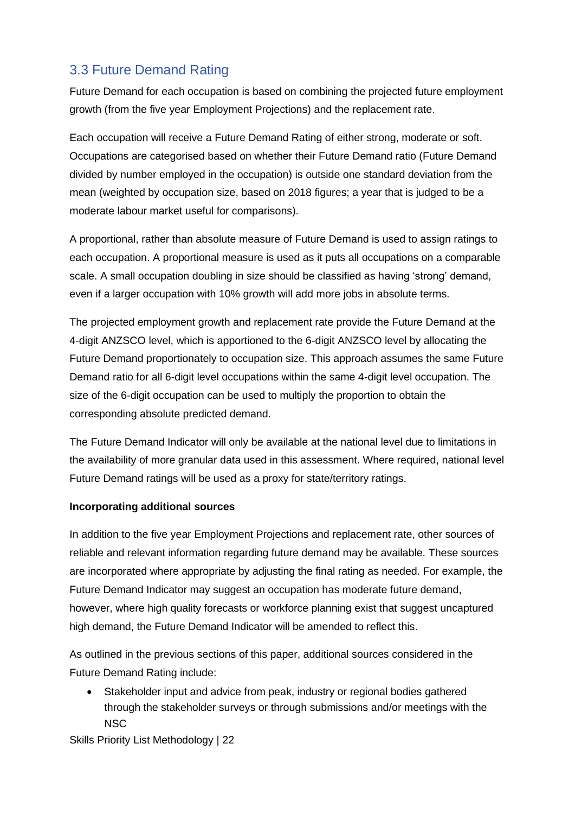## <span id="page-21-0"></span>3.3 Future Demand Rating

Future Demand for each occupation is based on combining the projected future employment growth (from the five year Employment Projections) and the replacement rate.

Each occupation will receive a Future Demand Rating of either strong, moderate or soft. Occupations are categorised based on whether their Future Demand ratio (Future Demand divided by number employed in the occupation) is outside one standard deviation from the mean (weighted by occupation size, based on 2018 figures; a year that is judged to be a moderate labour market useful for comparisons).

A proportional, rather than absolute measure of Future Demand is used to assign ratings to each occupation. A proportional measure is used as it puts all occupations on a comparable scale. A small occupation doubling in size should be classified as having 'strong' demand, even if a larger occupation with 10% growth will add more jobs in absolute terms.

The projected employment growth and replacement rate provide the Future Demand at the 4-digit ANZSCO level, which is apportioned to the 6-digit ANZSCO level by allocating the Future Demand proportionately to occupation size. This approach assumes the same Future Demand ratio for all 6-digit level occupations within the same 4-digit level occupation. The size of the 6-digit occupation can be used to multiply the proportion to obtain the corresponding absolute predicted demand.

The Future Demand Indicator will only be available at the national level due to limitations in the availability of more granular data used in this assessment. Where required, national level Future Demand ratings will be used as a proxy for state/territory ratings.

#### **Incorporating additional sources**

In addition to the five year Employment Projections and replacement rate, other sources of reliable and relevant information regarding future demand may be available. These sources are incorporated where appropriate by adjusting the final rating as needed. For example, the Future Demand Indicator may suggest an occupation has moderate future demand, however, where high quality forecasts or workforce planning exist that suggest uncaptured high demand, the Future Demand Indicator will be amended to reflect this.

As outlined in the previous sections of this paper, additional sources considered in the Future Demand Rating include:

Stakeholder input and advice from peak, industry or regional bodies gathered through the stakeholder surveys or through submissions and/or meetings with the NSC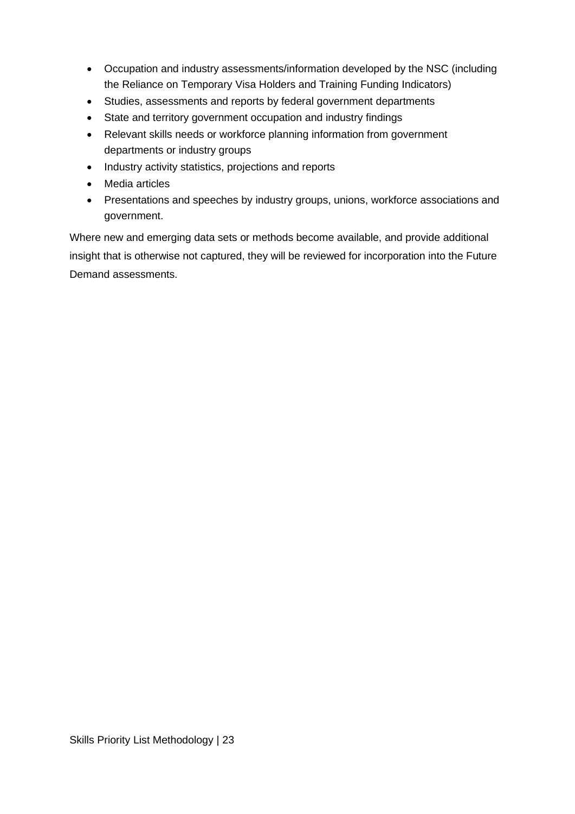- Occupation and industry assessments/information developed by the NSC (including the Reliance on Temporary Visa Holders and Training Funding Indicators)
- Studies, assessments and reports by federal government departments
- State and territory government occupation and industry findings
- Relevant skills needs or workforce planning information from government departments or industry groups
- Industry activity statistics, projections and reports
- Media articles
- Presentations and speeches by industry groups, unions, workforce associations and government.

Where new and emerging data sets or methods become available, and provide additional insight that is otherwise not captured, they will be reviewed for incorporation into the Future Demand assessments.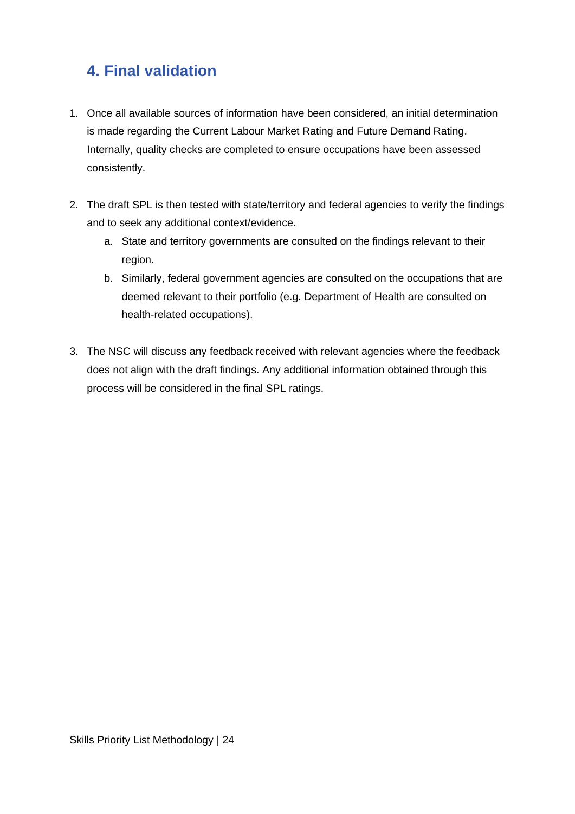# <span id="page-23-0"></span>**4. Final validation**

- 1. Once all available sources of information have been considered, an initial determination is made regarding the Current Labour Market Rating and Future Demand Rating. Internally, quality checks are completed to ensure occupations have been assessed consistently.
- 2. The draft SPL is then tested with state/territory and federal agencies to verify the findings and to seek any additional context/evidence.
	- a. State and territory governments are consulted on the findings relevant to their region.
	- b. Similarly, federal government agencies are consulted on the occupations that are deemed relevant to their portfolio (e.g. Department of Health are consulted on health-related occupations).
- 3. The NSC will discuss any feedback received with relevant agencies where the feedback does not align with the draft findings. Any additional information obtained through this process will be considered in the final SPL ratings.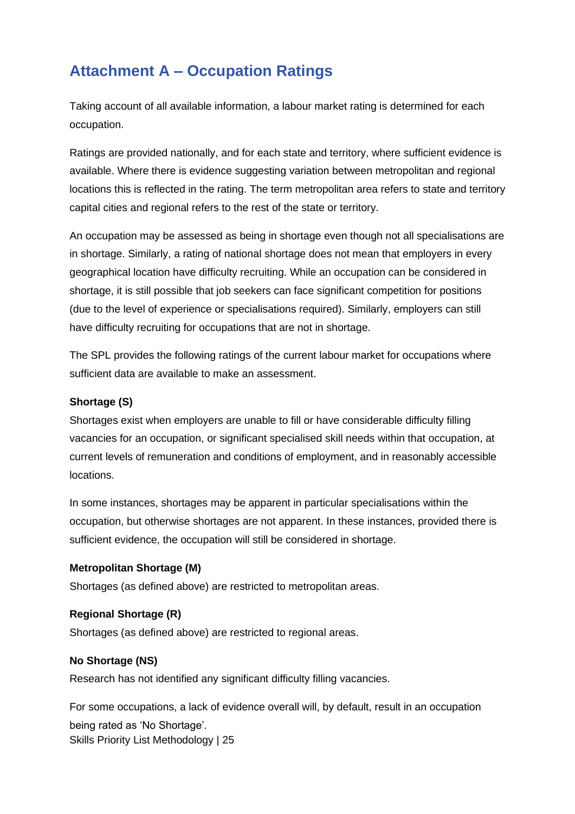# <span id="page-24-0"></span>**Attachment A – Occupation Ratings**

Taking account of all available information, a labour market rating is determined for each occupation.

Ratings are provided nationally, and for each state and territory, where sufficient evidence is available. Where there is evidence suggesting variation between metropolitan and regional locations this is reflected in the rating. The term metropolitan area refers to state and territory capital cities and regional refers to the rest of the state or territory.

An occupation may be assessed as being in shortage even though not all specialisations are in shortage. Similarly, a rating of national shortage does not mean that employers in every geographical location have difficulty recruiting. While an occupation can be considered in shortage, it is still possible that job seekers can face significant competition for positions (due to the level of experience or specialisations required). Similarly, employers can still have difficulty recruiting for occupations that are not in shortage.

The SPL provides the following ratings of the current labour market for occupations where sufficient data are available to make an assessment.

#### **Shortage (S)**

Shortages exist when employers are unable to fill or have considerable difficulty filling vacancies for an occupation, or significant specialised skill needs within that occupation, at current levels of remuneration and conditions of employment, and in reasonably accessible locations.

In some instances, shortages may be apparent in particular specialisations within the occupation, but otherwise shortages are not apparent. In these instances, provided there is sufficient evidence, the occupation will still be considered in shortage.

#### **Metropolitan Shortage (M)**

Shortages (as defined above) are restricted to metropolitan areas.

#### **Regional Shortage (R)**

Shortages (as defined above) are restricted to regional areas.

#### **No Shortage (NS)**

Research has not identified any significant difficulty filling vacancies.

Skills Priority List Methodology | 25 For some occupations, a lack of evidence overall will, by default, result in an occupation being rated as 'No Shortage'.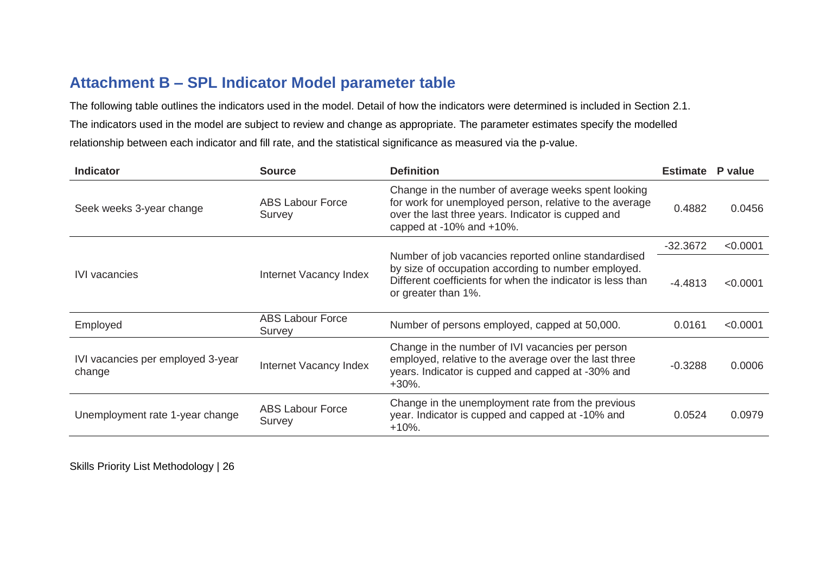# **Attachment B – SPL Indicator Model parameter table**

The following table outlines the indicators used in the model. Detail of how the indicators were determined is included in Section 2.1. The indicators used in the model are subject to review and change as appropriate. The parameter estimates specify the modelled relationship between each indicator and fill rate, and the statistical significance as measured via the p-value.

<span id="page-25-0"></span>

| <b>Indicator</b>                            | <b>Source</b>                     | <b>Definition</b>                                                                                                                                                                                | <b>Estimate</b> | P value  |
|---------------------------------------------|-----------------------------------|--------------------------------------------------------------------------------------------------------------------------------------------------------------------------------------------------|-----------------|----------|
| Seek weeks 3-year change                    | <b>ABS Labour Force</b><br>Survey | Change in the number of average weeks spent looking<br>for work for unemployed person, relative to the average<br>over the last three years. Indicator is cupped and<br>capped at -10% and +10%. | 0.4882          | 0.0456   |
|                                             | Internet Vacancy Index            | Number of job vacancies reported online standardised<br>by size of occupation according to number employed.<br>Different coefficients for when the indicator is less than<br>or greater than 1%. | $-32.3672$      | < 0.0001 |
| <b>IVI</b> vacancies                        |                                   |                                                                                                                                                                                                  | $-4.4813$       | < 0.0001 |
| Employed                                    | <b>ABS Labour Force</b><br>Survey | Number of persons employed, capped at 50,000.                                                                                                                                                    | 0.0161          | < 0.0001 |
| IVI vacancies per employed 3-year<br>change | Internet Vacancy Index            | Change in the number of IVI vacancies per person<br>employed, relative to the average over the last three<br>years. Indicator is cupped and capped at -30% and<br>$+30\%$ .                      | $-0.3288$       | 0.0006   |
| Unemployment rate 1-year change             | <b>ABS Labour Force</b><br>Survey | Change in the unemployment rate from the previous<br>year. Indicator is cupped and capped at -10% and<br>$+10%$ .                                                                                | 0.0524          | 0.0979   |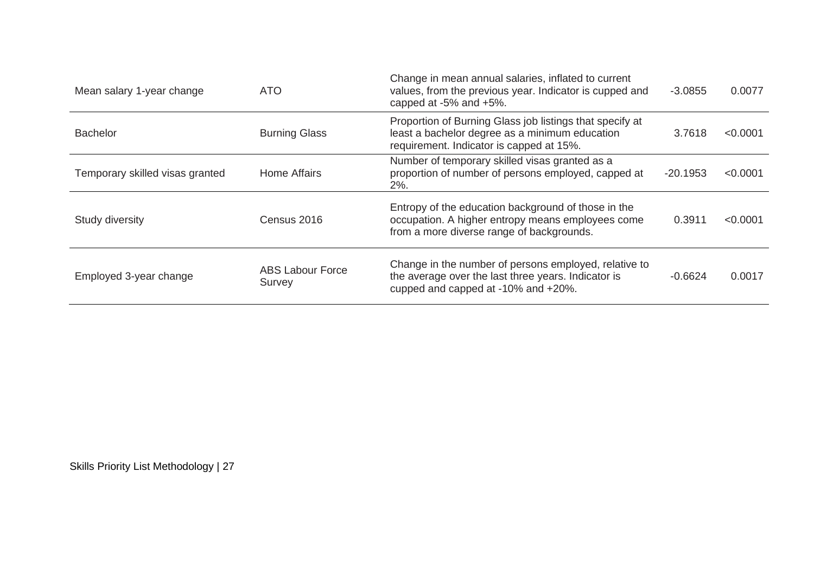| Mean salary 1-year change       | <b>ATO</b>                        | Change in mean annual salaries, inflated to current<br>values, from the previous year. Indicator is cupped and<br>capped at -5% and +5%.               | $-3.0855$  | 0.0077   |
|---------------------------------|-----------------------------------|--------------------------------------------------------------------------------------------------------------------------------------------------------|------------|----------|
| <b>Bachelor</b>                 | <b>Burning Glass</b>              | Proportion of Burning Glass job listings that specify at<br>least a bachelor degree as a minimum education<br>requirement. Indicator is capped at 15%. | 3.7618     | < 0.0001 |
| Temporary skilled visas granted | Home Affairs                      | Number of temporary skilled visas granted as a<br>proportion of number of persons employed, capped at<br>$2%$ .                                        | $-20.1953$ | < 0.0001 |
| Study diversity                 | Census 2016                       | Entropy of the education background of those in the<br>occupation. A higher entropy means employees come<br>from a more diverse range of backgrounds.  | 0.3911     | < 0.0001 |
| Employed 3-year change          | <b>ABS Labour Force</b><br>Survey | Change in the number of persons employed, relative to<br>the average over the last three years. Indicator is<br>cupped and capped at -10% and +20%.    | $-0.6624$  | 0.0017   |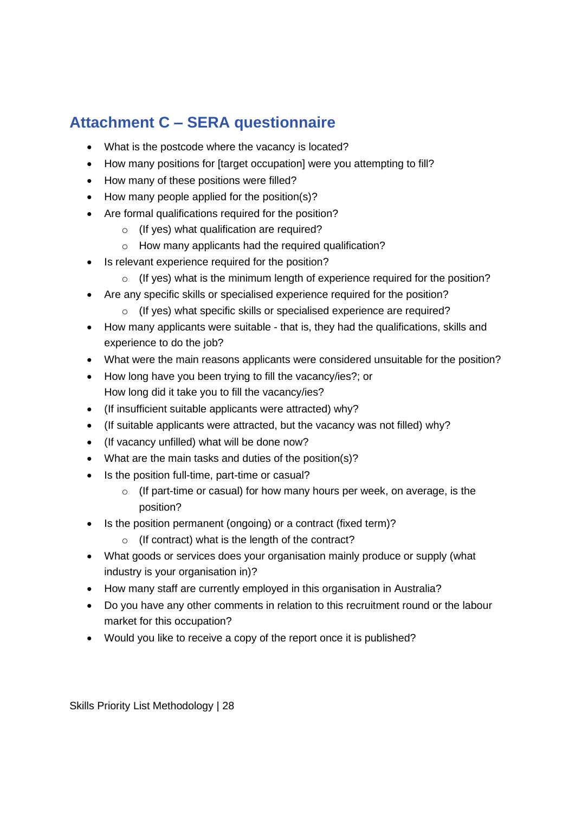# <span id="page-27-0"></span>**Attachment C – SERA questionnaire**

- What is the postcode where the vacancy is located?
- How many positions for [target occupation] were you attempting to fill?
- How many of these positions were filled?
- How many people applied for the position(s)?
- Are formal qualifications required for the position?
	- o (If yes) what qualification are required?
	- o How many applicants had the required qualification?
- Is relevant experience required for the position?
	- o (If yes) what is the minimum length of experience required for the position?
- Are any specific skills or specialised experience required for the position?
	- o (If yes) what specific skills or specialised experience are required?
- How many applicants were suitable that is, they had the qualifications, skills and experience to do the job?
- What were the main reasons applicants were considered unsuitable for the position?
- How long have you been trying to fill the vacancy/ies?; or How long did it take you to fill the vacancy/ies?
- (If insufficient suitable applicants were attracted) why?
- (If suitable applicants were attracted, but the vacancy was not filled) why?
- (If vacancy unfilled) what will be done now?
- What are the main tasks and duties of the position(s)?
- Is the position full-time, part-time or casual?
	- o (If part-time or casual) for how many hours per week, on average, is the position?
- Is the position permanent (ongoing) or a contract (fixed term)?
	- o (If contract) what is the length of the contract?
- What goods or services does your organisation mainly produce or supply (what industry is your organisation in)?
- How many staff are currently employed in this organisation in Australia?
- Do you have any other comments in relation to this recruitment round or the labour market for this occupation?
- Would you like to receive a copy of the report once it is published?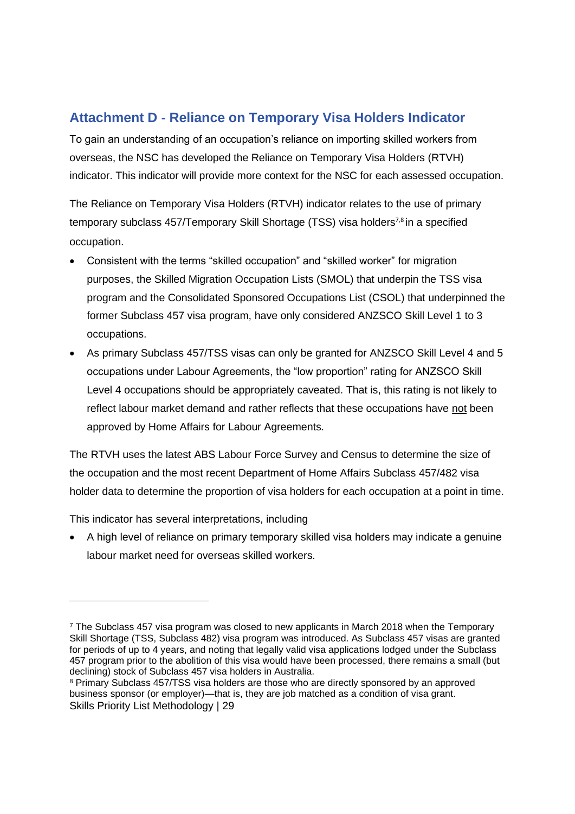## <span id="page-28-0"></span>**Attachment D - Reliance on Temporary Visa Holders Indicator**

To gain an understanding of an occupation's reliance on importing skilled workers from overseas, the NSC has developed the Reliance on Temporary Visa Holders (RTVH) indicator. This indicator will provide more context for the NSC for each assessed occupation.

The Reliance on Temporary Visa Holders (RTVH) indicator relates to the use of primary temporary subclass 457/Temporary Skill Shortage (TSS) visa holders<sup>7,8</sup> in a specified occupation.

- Consistent with the terms "skilled occupation" and "skilled worker" for migration purposes, the Skilled Migration Occupation Lists (SMOL) that underpin the TSS visa program and the Consolidated Sponsored Occupations List (CSOL) that underpinned the former Subclass 457 visa program, have only considered ANZSCO Skill Level 1 to 3 occupations.
- As primary Subclass 457/TSS visas can only be granted for ANZSCO Skill Level 4 and 5 occupations under Labour Agreements, the "low proportion" rating for ANZSCO Skill Level 4 occupations should be appropriately caveated. That is, this rating is not likely to reflect labour market demand and rather reflects that these occupations have not been approved by Home Affairs for Labour Agreements.

The RTVH uses the latest ABS Labour Force Survey and Census to determine the size of the occupation and the most recent Department of Home Affairs Subclass 457/482 visa holder data to determine the proportion of visa holders for each occupation at a point in time.

This indicator has several interpretations, including

• A high level of reliance on primary temporary skilled visa holders may indicate a genuine labour market need for overseas skilled workers.

 $7$  The Subclass 457 visa program was closed to new applicants in March 2018 when the Temporary Skill Shortage (TSS, Subclass 482) visa program was introduced. As Subclass 457 visas are granted for periods of up to 4 years, and noting that legally valid visa applications lodged under the Subclass 457 program prior to the abolition of this visa would have been processed, there remains a small (but declining) stock of Subclass 457 visa holders in Australia.

Skills Priority List Methodology | 29 <sup>8</sup> Primary Subclass 457/TSS visa holders are those who are directly sponsored by an approved business sponsor (or employer)—that is, they are job matched as a condition of visa grant.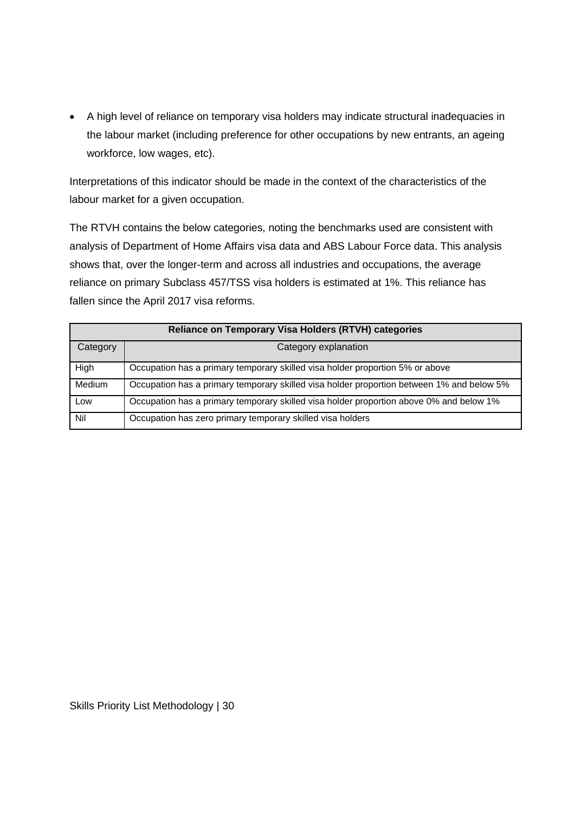• A high level of reliance on temporary visa holders may indicate structural inadequacies in the labour market (including preference for other occupations by new entrants, an ageing workforce, low wages, etc).

Interpretations of this indicator should be made in the context of the characteristics of the labour market for a given occupation.

The RTVH contains the below categories, noting the benchmarks used are consistent with analysis of Department of Home Affairs visa data and ABS Labour Force data. This analysis shows that, over the longer-term and across all industries and occupations, the average reliance on primary Subclass 457/TSS visa holders is estimated at 1%. This reliance has fallen since the April 2017 visa reforms.

| <b>Reliance on Temporary Visa Holders (RTVH) categories</b> |                                                                                           |  |
|-------------------------------------------------------------|-------------------------------------------------------------------------------------------|--|
| Category                                                    | Category explanation                                                                      |  |
| High                                                        | Occupation has a primary temporary skilled visa holder proportion 5% or above             |  |
| Medium                                                      | Occupation has a primary temporary skilled visa holder proportion between 1% and below 5% |  |
| LOW                                                         | Occupation has a primary temporary skilled visa holder proportion above 0% and below 1%   |  |
| Nil                                                         | Occupation has zero primary temporary skilled visa holders                                |  |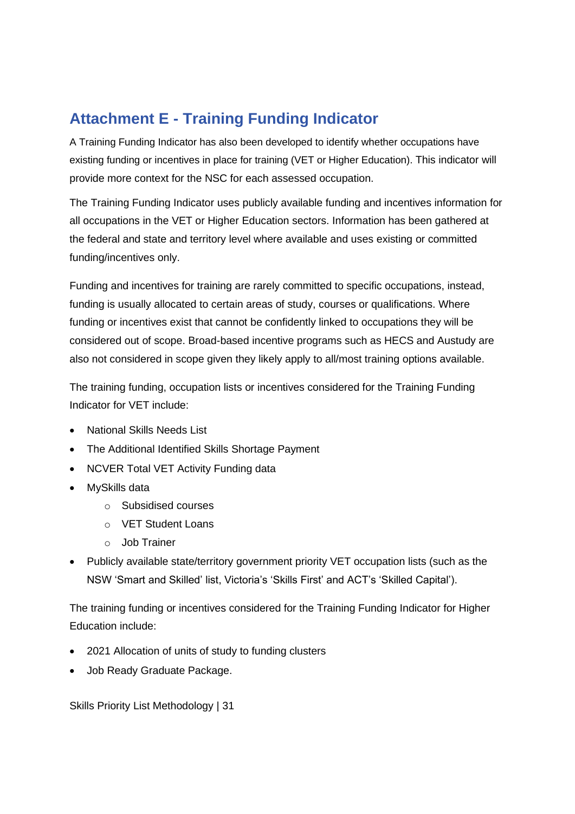# <span id="page-30-0"></span>**Attachment E - Training Funding Indicator**

A Training Funding Indicator has also been developed to identify whether occupations have existing funding or incentives in place for training (VET or Higher Education). This indicator will provide more context for the NSC for each assessed occupation.

The Training Funding Indicator uses publicly available funding and incentives information for all occupations in the VET or Higher Education sectors. Information has been gathered at the federal and state and territory level where available and uses existing or committed funding/incentives only.

Funding and incentives for training are rarely committed to specific occupations, instead, funding is usually allocated to certain areas of study, courses or qualifications. Where funding or incentives exist that cannot be confidently linked to occupations they will be considered out of scope. Broad-based incentive programs such as HECS and Austudy are also not considered in scope given they likely apply to all/most training options available.

The training funding, occupation lists or incentives considered for the Training Funding Indicator for VET include:

- National Skills Needs List
- The Additional Identified Skills Shortage Payment
- NCVER Total VET Activity Funding data
- MySkills data
	- o Subsidised courses
	- o VET Student Loans
	- o Job Trainer
- Publicly available state/territory government priority VET occupation lists (such as the NSW 'Smart and Skilled' list, Victoria's 'Skills First' and ACT's 'Skilled Capital').

The training funding or incentives considered for the Training Funding Indicator for Higher Education include:

- 2021 Allocation of units of study to funding clusters
- Job Ready Graduate Package.